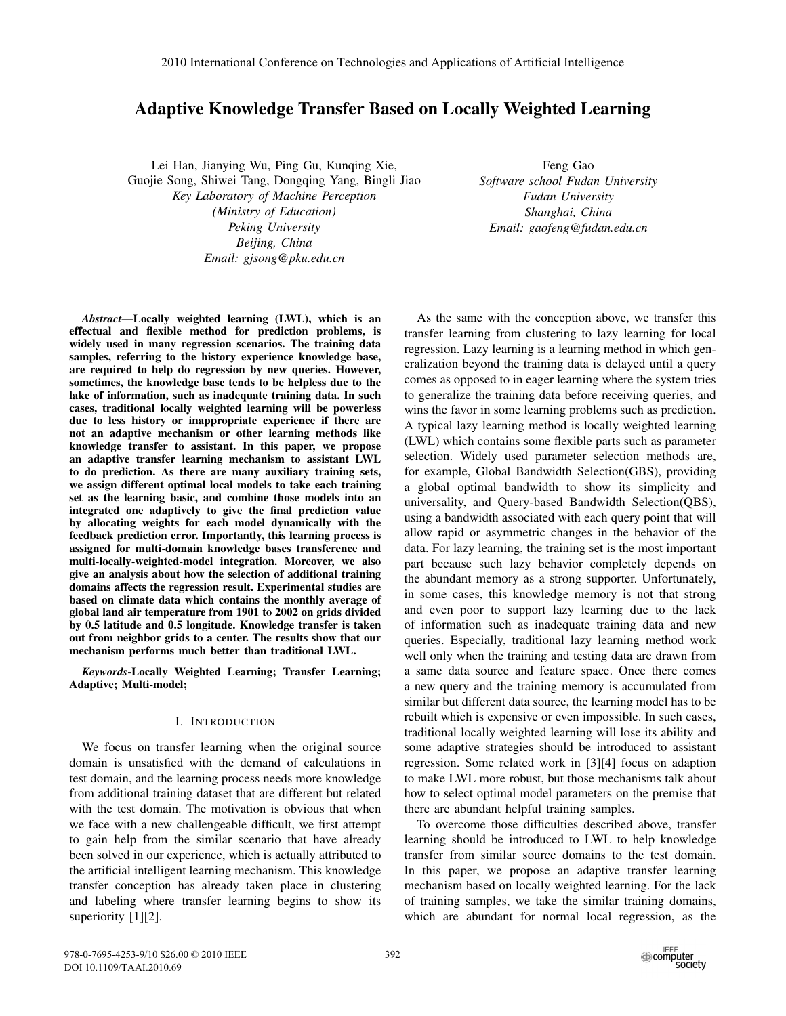# Adaptive Knowledge Transfer Based on Locally Weighted Learning

Lei Han, Jianying Wu, Ping Gu, Kunqing Xie, Guojie Song, Shiwei Tang, Dongqing Yang, Bingli Jiao *Key Laboratory of Machine Perception (Ministry of Education) Peking University Beijing, China Email: gjsong@pku.edu.cn*

Feng Gao *Software school Fudan University Fudan University Shanghai, China Email: gaofeng@fudan.edu.cn*

*Abstract*—Locally weighted learning (LWL), which is an effectual and flexible method for prediction problems, is widely used in many regression scenarios. The training data samples, referring to the history experience knowledge base, are required to help do regression by new queries. However, sometimes, the knowledge base tends to be helpless due to the lake of information, such as inadequate training data. In such cases, traditional locally weighted learning will be powerless due to less history or inappropriate experience if there are not an adaptive mechanism or other learning methods like knowledge transfer to assistant. In this paper, we propose an adaptive transfer learning mechanism to assistant LWL to do prediction. As there are many auxiliary training sets, we assign different optimal local models to take each training set as the learning basic, and combine those models into an integrated one adaptively to give the final prediction value by allocating weights for each model dynamically with the feedback prediction error. Importantly, this learning process is assigned for multi-domain knowledge bases transference and multi-locally-weighted-model integration. Moreover, we also give an analysis about how the selection of additional training domains affects the regression result. Experimental studies are based on climate data which contains the monthly average of global land air temperature from 1901 to 2002 on grids divided by 0.5 latitude and 0.5 longitude. Knowledge transfer is taken out from neighbor grids to a center. The results show that our mechanism performs much better than traditional LWL.

*Keywords*-Locally Weighted Learning; Transfer Learning; Adaptive; Multi-model;

## I. INTRODUCTION

We focus on transfer learning when the original source domain is unsatisfied with the demand of calculations in test domain, and the learning process needs more knowledge from additional training dataset that are different but related with the test domain. The motivation is obvious that when we face with a new challengeable difficult, we first attempt to gain help from the similar scenario that have already been solved in our experience, which is actually attributed to the artificial intelligent learning mechanism. This knowledge transfer conception has already taken place in clustering and labeling where transfer learning begins to show its superiority [1][2].

As the same with the conception above, we transfer this transfer learning from clustering to lazy learning for local regression. Lazy learning is a learning method in which generalization beyond the training data is delayed until a query comes as opposed to in eager learning where the system tries to generalize the training data before receiving queries, and wins the favor in some learning problems such as prediction. A typical lazy learning method is locally weighted learning (LWL) which contains some flexible parts such as parameter selection. Widely used parameter selection methods are, for example, Global Bandwidth Selection(GBS), providing a global optimal bandwidth to show its simplicity and universality, and Query-based Bandwidth Selection(QBS), using a bandwidth associated with each query point that will allow rapid or asymmetric changes in the behavior of the data. For lazy learning, the training set is the most important part because such lazy behavior completely depends on the abundant memory as a strong supporter. Unfortunately, in some cases, this knowledge memory is not that strong and even poor to support lazy learning due to the lack of information such as inadequate training data and new queries. Especially, traditional lazy learning method work well only when the training and testing data are drawn from a same data source and feature space. Once there comes a new query and the training memory is accumulated from similar but different data source, the learning model has to be rebuilt which is expensive or even impossible. In such cases, traditional locally weighted learning will lose its ability and some adaptive strategies should be introduced to assistant regression. Some related work in [3][4] focus on adaption to make LWL more robust, but those mechanisms talk about how to select optimal model parameters on the premise that there are abundant helpful training samples.

To overcome those difficulties described above, transfer learning should be introduced to LWL to help knowledge transfer from similar source domains to the test domain. In this paper, we propose an adaptive transfer learning mechanism based on locally weighted learning. For the lack of training samples, we take the similar training domains, which are abundant for normal local regression, as the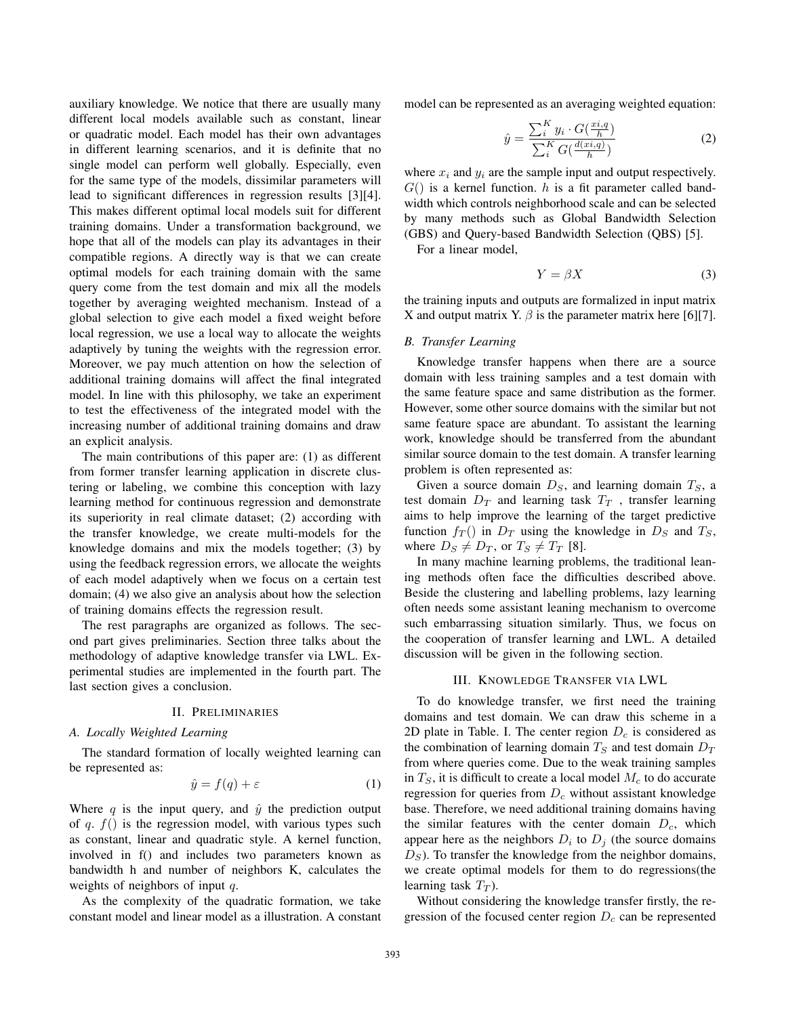auxiliary knowledge. We notice that there are usually many different local models available such as constant, linear or quadratic model. Each model has their own advantages in different learning scenarios, and it is definite that no single model can perform well globally. Especially, even for the same type of the models, dissimilar parameters will lead to significant differences in regression results [3][4]. This makes different optimal local models suit for different training domains. Under a transformation background, we hope that all of the models can play its advantages in their compatible regions. A directly way is that we can create optimal models for each training domain with the same query come from the test domain and mix all the models together by averaging weighted mechanism. Instead of a global selection to give each model a fixed weight before local regression, we use a local way to allocate the weights adaptively by tuning the weights with the regression error. Moreover, we pay much attention on how the selection of additional training domains will affect the final integrated model. In line with this philosophy, we take an experiment to test the effectiveness of the integrated model with the increasing number of additional training domains and draw an explicit analysis.

The main contributions of this paper are: (1) as different from former transfer learning application in discrete clustering or labeling, we combine this conception with lazy learning method for continuous regression and demonstrate its superiority in real climate dataset; (2) according with the transfer knowledge, we create multi-models for the knowledge domains and mix the models together; (3) by using the feedback regression errors, we allocate the weights of each model adaptively when we focus on a certain test domain; (4) we also give an analysis about how the selection of training domains effects the regression result.

The rest paragraphs are organized as follows. The second part gives preliminaries. Section three talks about the methodology of adaptive knowledge transfer via LWL. Experimental studies are implemented in the fourth part. The last section gives a conclusion.

## II. PRELIMINARIES

## *A. Locally Weighted Learning*

The standard formation of locally weighted learning can be represented as:

$$
\hat{y} = f(q) + \varepsilon \tag{1}
$$

Where q is the input query, and  $\hat{y}$  the prediction output of q.  $f()$  is the regression model, with various types such as constant, linear and quadratic style. A kernel function, involved in f() and includes two parameters known as bandwidth h and number of neighbors K, calculates the weights of neighbors of input  $q$ .

As the complexity of the quadratic formation, we take constant model and linear model as a illustration. A constant model can be represented as an averaging weighted equation:

$$
\hat{y} = \frac{\sum_{i}^{K} y_i \cdot G(\frac{x_i, q}{h})}{\sum_{i}^{K} G(\frac{d(x_i, q)}{h})}
$$
(2)

where  $x_i$  and  $y_i$  are the sample input and output respectively.  $G()$  is a kernel function. h is a fit parameter called bandwidth which controls neighborhood scale and can be selected by many methods such as Global Bandwidth Selection (GBS) and Query-based Bandwidth Selection (QBS) [5].

For a linear model,

$$
Y = \beta X \tag{3}
$$

the training inputs and outputs are formalized in input matrix X and output matrix Y.  $\beta$  is the parameter matrix here [6][7].

#### *B. Transfer Learning*

Knowledge transfer happens when there are a source domain with less training samples and a test domain with the same feature space and same distribution as the former. However, some other source domains with the similar but not same feature space are abundant. To assistant the learning work, knowledge should be transferred from the abundant similar source domain to the test domain. A transfer learning problem is often represented as:

Given a source domain  $D<sub>S</sub>$ , and learning domain  $T<sub>S</sub>$ , a test domain  $D_T$  and learning task  $T_T$ , transfer learning aims to help improve the learning of the target predictive function  $f_T()$  in  $D_T$  using the knowledge in  $D_S$  and  $T_S$ , where  $D_S \neq D_T$ , or  $T_S \neq T_T$  [8].

In many machine learning problems, the traditional leaning methods often face the difficulties described above. Beside the clustering and labelling problems, lazy learning often needs some assistant leaning mechanism to overcome such embarrassing situation similarly. Thus, we focus on the cooperation of transfer learning and LWL. A detailed discussion will be given in the following section.

#### III. KNOWLEDGE TRANSFER VIA LWL

To do knowledge transfer, we first need the training domains and test domain. We can draw this scheme in a 2D plate in Table. I. The center region  $D<sub>c</sub>$  is considered as the combination of learning domain  $T<sub>S</sub>$  and test domain  $D<sub>T</sub>$ from where queries come. Due to the weak training samples in  $T<sub>S</sub>$ , it is difficult to create a local model  $M<sub>c</sub>$  to do accurate regression for queries from  $D<sub>c</sub>$  without assistant knowledge base. Therefore, we need additional training domains having the similar features with the center domain  $D_c$ , which appear here as the neighbors  $D_i$  to  $D_j$  (the source domains  $D<sub>S</sub>$ ). To transfer the knowledge from the neighbor domains, we create optimal models for them to do regressions(the learning task  $T_T$ ).

Without considering the knowledge transfer firstly, the regression of the focused center region  $D<sub>c</sub>$  can be represented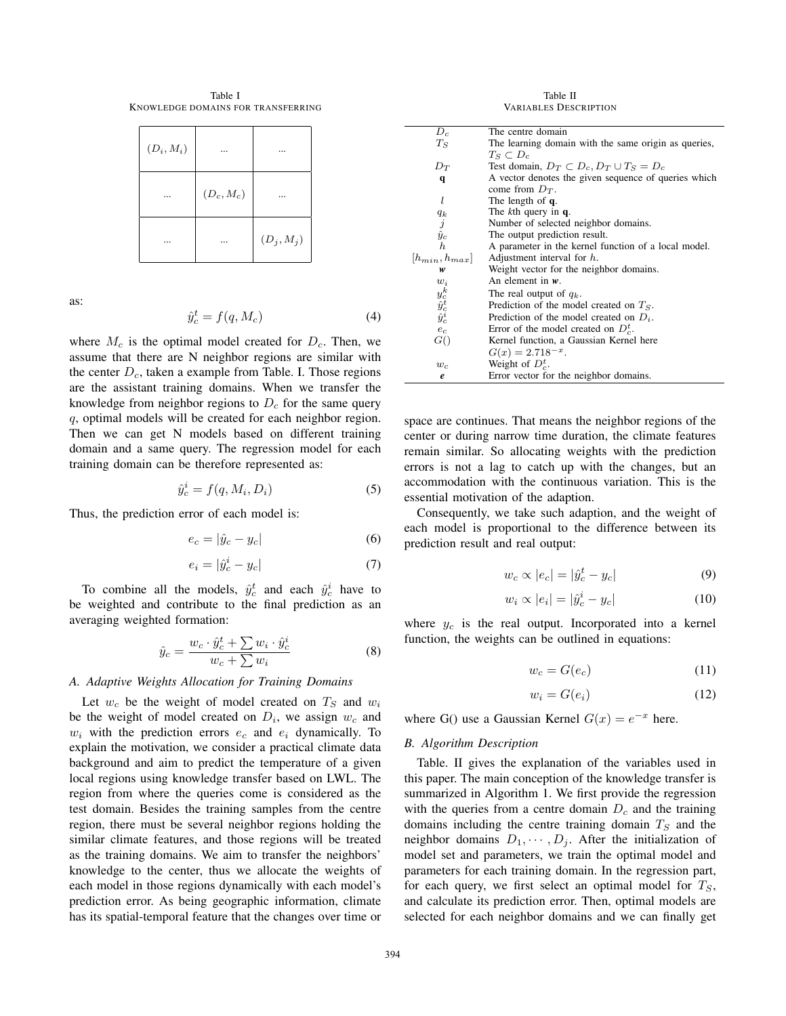Table I KNOWLEDGE DOMAINS FOR TRANSFERRING

| $(D_i, M_i)$ |              |              |  |
|--------------|--------------|--------------|--|
|              | $(D_c, M_c)$ |              |  |
|              |              | $(D_j, M_j)$ |  |

as:

$$
\hat{y}_c^t = f(q, M_c) \tag{4}
$$

where  $M_c$  is the optimal model created for  $D_c$ . Then, we assume that there are N neighbor regions are similar with the center  $D<sub>c</sub>$ , taken a example from Table. I. Those regions are the assistant training domains. When we transfer the knowledge from neighbor regions to  $D<sub>c</sub>$  for the same query q, optimal models will be created for each neighbor region. Then we can get N models based on different training domain and a same query. The regression model for each training domain can be therefore represented as:

$$
\hat{y}_c^i = f(q, M_i, D_i) \tag{5}
$$

Thus, the prediction error of each model is:

$$
e_c = |\hat{y}_c - y_c| \tag{6}
$$

$$
e_i = |\hat{y}_c^i - y_c| \tag{7}
$$

To combine all the models,  $\hat{y}_c^t$  and each  $\hat{y}_c^i$  have to be weighted and contribute to the final prediction as an averaging weighted formation:

$$
\hat{y}_c = \frac{w_c \cdot \hat{y}_c^t + \sum w_i \cdot \hat{y}_c^i}{w_c + \sum w_i} \tag{8}
$$

#### *A. Adaptive Weights Allocation for Training Domains*

Let  $w_c$  be the weight of model created on  $T<sub>S</sub>$  and  $w<sub>i</sub>$ be the weight of model created on  $D_i$ , we assign  $w_c$  and  $w_i$  with the prediction errors  $e_c$  and  $e_i$  dynamically. To explain the motivation, we consider a practical climate data background and aim to predict the temperature of a given local regions using knowledge transfer based on LWL. The region from where the queries come is considered as the test domain. Besides the training samples from the centre region, there must be several neighbor regions holding the similar climate features, and those regions will be treated as the training domains. We aim to transfer the neighbors' knowledge to the center, thus we allocate the weights of each model in those regions dynamically with each model's prediction error. As being geographic information, climate has its spatial-temporal feature that the changes over time or

Table II VARIABLES DESCRIPTION

|                                                                  | $D_c$<br>The centre domain                            |  |
|------------------------------------------------------------------|-------------------------------------------------------|--|
| $T_S$                                                            | The learning domain with the same origin as queries,  |  |
|                                                                  | $T_S \subset D_c$                                     |  |
| $D_T$                                                            | Test domain, $D_T \subset D_c$ , $D_T \cup T_S = D_c$ |  |
| q                                                                | A vector denotes the given sequence of queries which  |  |
|                                                                  | come from $D_T$ .                                     |  |
| l                                                                | The length of q.                                      |  |
|                                                                  | The $k$ th query in $q$ .                             |  |
| $q_k$<br>$\hat{j}$<br>$\hat{y}_c$<br>$h$                         | Number of selected neighbor domains.                  |  |
|                                                                  | The output prediction result.                         |  |
|                                                                  | A parameter in the kernel function of a local model.  |  |
| $[h_{min}, h_{max}]$                                             | Adjustment interval for $h$ .                         |  |
| w                                                                | Weight vector for the neighbor domains.               |  |
| $w_i$                                                            | An element in $w$ .                                   |  |
|                                                                  | The real output of $q_k$ .                            |  |
|                                                                  | Prediction of the model created on $TS$ .             |  |
| $\begin{array}{c} y_c^k\\ \hat{y}_c^t\\ \hat{y}_c^i \end{array}$ | Prediction of the model created on $D_i$ .            |  |
| $e_c$                                                            | Error of the model created on $D_c^t$ .               |  |
| G()                                                              | Kernel function, a Gaussian Kernel here               |  |
|                                                                  | $G(x) = 2.718^{-x}$ .                                 |  |
| $w_c$                                                            | Weight of $D_c^t$ .                                   |  |
| e                                                                | Error vector for the neighbor domains.                |  |

space are continues. That means the neighbor regions of the center or during narrow time duration, the climate features remain similar. So allocating weights with the prediction errors is not a lag to catch up with the changes, but an accommodation with the continuous variation. This is the essential motivation of the adaption.

Consequently, we take such adaption, and the weight of each model is proportional to the difference between its prediction result and real output:

$$
w_c \propto |e_c| = |\hat{y}_c^t - y_c| \tag{9}
$$

$$
w_i \propto |e_i| = |\hat{y}_c^i - y_c| \tag{10}
$$

where  $y_c$  is the real output. Incorporated into a kernel function, the weights can be outlined in equations:

$$
w_c = G(e_c) \tag{11}
$$

$$
w_i = G(e_i) \tag{12}
$$

where G() use a Gaussian Kernel  $G(x) = e^{-x}$  here.

#### *B. Algorithm Description*

Table. II gives the explanation of the variables used in this paper. The main conception of the knowledge transfer is summarized in Algorithm 1. We first provide the regression with the queries from a centre domain  $D<sub>c</sub>$  and the training domains including the centre training domain  $T<sub>S</sub>$  and the neighbor domains  $D_1, \dots, D_j$ . After the initialization of model set and parameters, we train the optimal model and parameters for each training domain. In the regression part, for each query, we first select an optimal model for  $T<sub>S</sub>$ , and calculate its prediction error. Then, optimal models are selected for each neighbor domains and we can finally get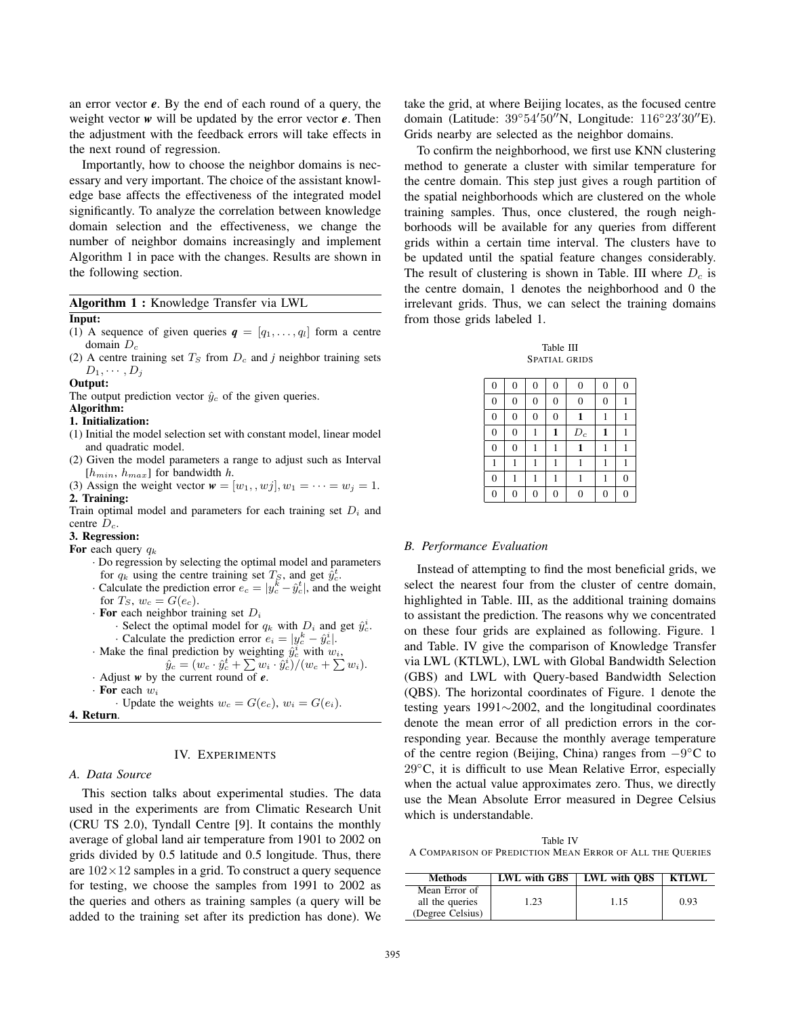an error vector *e*. By the end of each round of a query, the weight vector *w* will be updated by the error vector *e*. Then the adjustment with the feedback errors will take effects in the next round of regression.

Importantly, how to choose the neighbor domains is necessary and very important. The choice of the assistant knowledge base affects the effectiveness of the integrated model significantly. To analyze the correlation between knowledge domain selection and the effectiveness, we change the number of neighbor domains increasingly and implement Algorithm 1 in pace with the changes. Results are shown in the following section.

Algorithm 1 : Knowledge Transfer via LWL

## Input:

- (1) A sequence of given queries  $q = [q_1, \ldots, q_l]$  form a centre domain  $D<sub>c</sub>$
- (2) A centre training set  $T<sub>S</sub>$  from  $D<sub>c</sub>$  and *j* neighbor training sets  $D_1, \cdots, D_j$

#### Output:

The output prediction vector  $\hat{y}_c$  of the given queries.

#### Algorithm:

## 1. Initialization:

- (1) Initial the model selection set with constant model, linear model and quadratic model.
- (2) Given the model parameters a range to adjust such as Interval  $[h_{min}, h_{max}]$  for bandwidth *h*.
- (3) Assign the weight vector  $w = [w_1, w_j], w_1 = \cdots = w_j = 1$ . 2. Training:

Train optimal model and parameters for each training set  $D_i$  and centre  $D_c$ .

#### 3. Regression:

For each query  $q_k$ 

- · Do regression by selecting the optimal model and parameters for  $q_k$  using the centre training set  $T_S$ , and get  $\hat{y}_c^t$ .
- · Calculate the prediction error  $e_c = |y_c^k \hat{y}_c^t|$ , and the weight for  $T_S$ ,  $w_c = G(e_c)$ .
- $\cdot$  For each neighbor training set  $D_i$ 
	- · Select the optimal model for  $q_k$  with  $D_i$  and get  $\hat{y}_c^i$ . • Calculate the prediction error  $e_i = |y_c^k - \hat{y}_c^i|$ .
- · Make the final prediction by weighting  $\hat{y}_c^i$  with  $w_i$ ,

$$
\hat{y}_c = (w_c \cdot \hat{y}_c^t + \sum w_i \cdot \hat{y}_c^t) / (w_c + \sum w_i).
$$
  
 Adjust *w* by the current round of *e*.

 $\cdot$  For each  $w_i$ 

· Update the weights  $w_c = G(e_c)$ ,  $w_i = G(e_i)$ .

4. Return.

## IV. EXPERIMENTS

## *A. Data Source*

This section talks about experimental studies. The data used in the experiments are from Climatic Research Unit (CRU TS 2.0), Tyndall Centre [9]. It contains the monthly average of global land air temperature from 1901 to 2002 on grids divided by 0.5 latitude and 0.5 longitude. Thus, there are  $102 \times 12$  samples in a grid. To construct a query sequence for testing, we choose the samples from 1991 to 2002 as the queries and others as training samples (a query will be added to the training set after its prediction has done). We take the grid, at where Beijing locates, as the focused centre domain (Latitude:  $39^{\circ}54'50''$ N, Longitude:  $116^{\circ}23'30''$ E). Grids nearby are selected as the neighbor domains.

To confirm the neighborhood, we first use KNN clustering method to generate a cluster with similar temperature for the centre domain. This step just gives a rough partition of the spatial neighborhoods which are clustered on the whole training samples. Thus, once clustered, the rough neighborhoods will be available for any queries from different grids within a certain time interval. The clusters have to be updated until the spatial feature changes considerably. The result of clustering is shown in Table. III where  $D<sub>c</sub>$  is the centre domain, 1 denotes the neighborhood and 0 the irrelevant grids. Thus, we can select the training domains from those grids labeled 1.

Table III SPATIAL GRIDS

| $\mathbf{0}$   | $\overline{0}$ | $\overline{0}$ | $\overline{0}$ | $\overline{0}$ | $\overline{0}$ | $\overline{0}$ |
|----------------|----------------|----------------|----------------|----------------|----------------|----------------|
| $\overline{0}$ | $\overline{0}$ | $\overline{0}$ | $\overline{0}$ | $\mathbf{0}$   | $\overline{0}$ |                |
| $\overline{0}$ | $\overline{0}$ | $\overline{0}$ | $\overline{0}$ | 1              |                |                |
| $\overline{0}$ | $\overline{0}$ | 1              | 1              | $\mathcal{D}c$ | 1              |                |
| $\mathbf{0}$   | $\overline{0}$ | 1              | 1              |                |                | 1              |
| 1              | 1              | 1              | 1              | 1              |                |                |
| $\mathbf{0}$   |                | 1              | 1              |                |                | $\overline{0}$ |
| $\mathbf{0}$   | $\overline{0}$ | $\mathbf{0}$   | $\overline{0}$ | $\overline{0}$ | $\mathbf{0}$   | $\mathbf{0}$   |

#### *B. Performance Evaluation*

Instead of attempting to find the most beneficial grids, we select the nearest four from the cluster of centre domain, highlighted in Table. III, as the additional training domains to assistant the prediction. The reasons why we concentrated on these four grids are explained as following. Figure. 1 and Table. IV give the comparison of Knowledge Transfer via LWL (KTLWL), LWL with Global Bandwidth Selection (GBS) and LWL with Query-based Bandwidth Selection (QBS). The horizontal coordinates of Figure. 1 denote the testing years 1991∼2002, and the longitudinal coordinates denote the mean error of all prediction errors in the corresponding year. Because the monthly average temperature of the centre region (Beijing, China) ranges from −9◦C to 29<sup>°</sup>C, it is difficult to use Mean Relative Error, especially when the actual value approximates zero. Thus, we directly use the Mean Absolute Error measured in Degree Celsius which is understandable.

Table IV A COMPARISON OF PREDICTION MEAN ERROR OF ALL THE QUERIES

| <b>Methods</b>                                       | LWL with GBS | LWL with OBS | KTLWL |
|------------------------------------------------------|--------------|--------------|-------|
| Mean Error of<br>all the queries<br>(Degree Celsius) | 23           | 1.15         | 0.93  |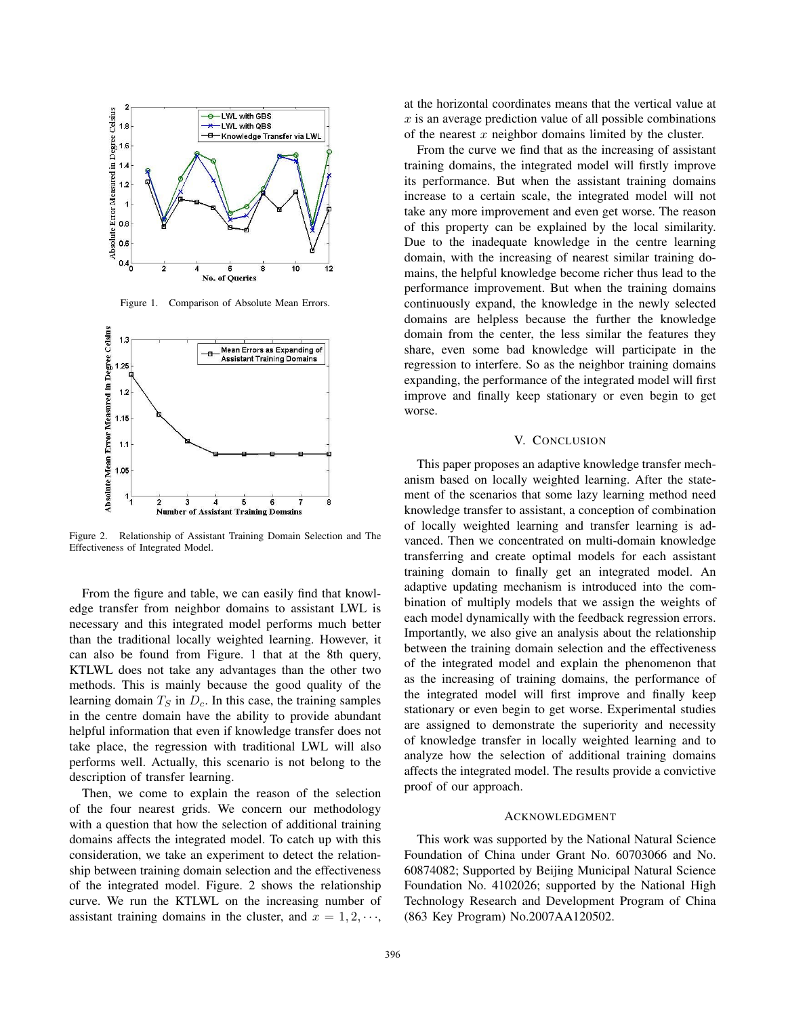

Figure 1. Comparison of Absolute Mean Errors.



Figure 2. Relationship of Assistant Training Domain Selection and The Effectiveness of Integrated Model.

From the figure and table, we can easily find that knowledge transfer from neighbor domains to assistant LWL is necessary and this integrated model performs much better than the traditional locally weighted learning. However, it can also be found from Figure. 1 that at the 8th query, KTLWL does not take any advantages than the other two methods. This is mainly because the good quality of the learning domain  $T<sub>S</sub>$  in  $D<sub>c</sub>$ . In this case, the training samples in the centre domain have the ability to provide abundant helpful information that even if knowledge transfer does not take place, the regression with traditional LWL will also performs well. Actually, this scenario is not belong to the description of transfer learning.

Then, we come to explain the reason of the selection of the four nearest grids. We concern our methodology with a question that how the selection of additional training domains affects the integrated model. To catch up with this consideration, we take an experiment to detect the relationship between training domain selection and the effectiveness of the integrated model. Figure. 2 shows the relationship curve. We run the KTLWL on the increasing number of assistant training domains in the cluster, and  $x = 1, 2, \dots$ , at the horizontal coordinates means that the vertical value at  $x$  is an average prediction value of all possible combinations of the nearest  $x$  neighbor domains limited by the cluster.

From the curve we find that as the increasing of assistant training domains, the integrated model will firstly improve its performance. But when the assistant training domains increase to a certain scale, the integrated model will not take any more improvement and even get worse. The reason of this property can be explained by the local similarity. Due to the inadequate knowledge in the centre learning domain, with the increasing of nearest similar training domains, the helpful knowledge become richer thus lead to the performance improvement. But when the training domains continuously expand, the knowledge in the newly selected domains are helpless because the further the knowledge domain from the center, the less similar the features they share, even some bad knowledge will participate in the regression to interfere. So as the neighbor training domains expanding, the performance of the integrated model will first improve and finally keep stationary or even begin to get worse.

## V. CONCLUSION

This paper proposes an adaptive knowledge transfer mechanism based on locally weighted learning. After the statement of the scenarios that some lazy learning method need knowledge transfer to assistant, a conception of combination of locally weighted learning and transfer learning is advanced. Then we concentrated on multi-domain knowledge transferring and create optimal models for each assistant training domain to finally get an integrated model. An adaptive updating mechanism is introduced into the combination of multiply models that we assign the weights of each model dynamically with the feedback regression errors. Importantly, we also give an analysis about the relationship between the training domain selection and the effectiveness of the integrated model and explain the phenomenon that as the increasing of training domains, the performance of the integrated model will first improve and finally keep stationary or even begin to get worse. Experimental studies are assigned to demonstrate the superiority and necessity of knowledge transfer in locally weighted learning and to analyze how the selection of additional training domains affects the integrated model. The results provide a convictive proof of our approach.

#### ACKNOWLEDGMENT

This work was supported by the National Natural Science Foundation of China under Grant No. 60703066 and No. 60874082; Supported by Beijing Municipal Natural Science Foundation No. 4102026; supported by the National High Technology Research and Development Program of China (863 Key Program) No.2007AA120502.